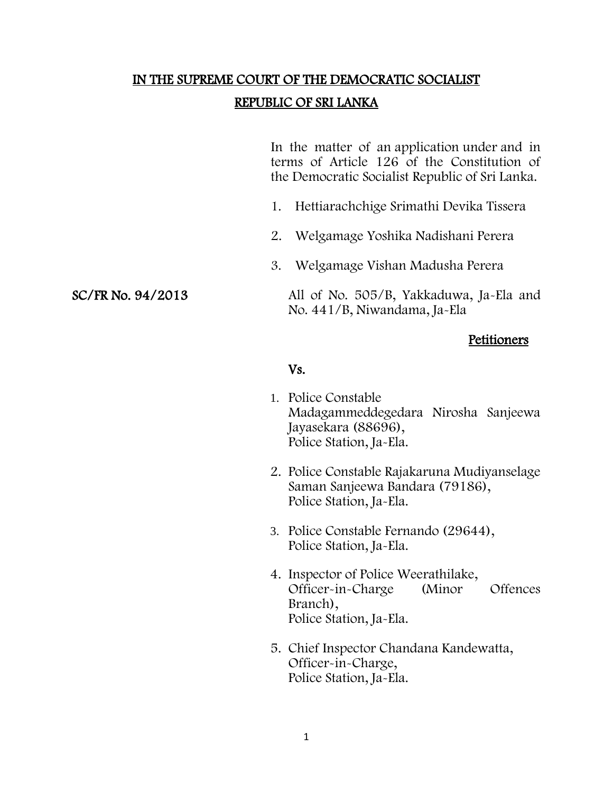# IN THE SUPREME COURT OF THE DEMOCRATIC SOCIALIST

## REPUBLIC OF SRI LANKA

In the matter of an application under and in terms of Article 126 of the Constitution of the Democratic Socialist Republic of Sri Lanka.

- 1. Hettiarachchige Srimathi Devika Tissera
- 2. Welgamage Yoshika Nadishani Perera
- 3. Welgamage Vishan Madusha Perera

SC/FR No. 94/2013 All of No. 505/B, Yakkaduwa, Ja-Ela and No. 441/B, Niwandama, Ja-Ela

### Petitioners

#### Vs.

- 1. Police Constable Madagammeddegedara Nirosha Sanjeewa Jayasekara (88696), Police Station, Ja-Ela.
- 2. Police Constable Rajakaruna Mudiyanselage Saman Sanjeewa Bandara (79186), Police Station, Ja-Ela.
- 3. Police Constable Fernando (29644), Police Station, Ja-Ela.
- 4. Inspector of Police Weerathilake, Officer-in-Charge (Minor Offences Branch), Police Station, Ja-Ela.
- 5. Chief Inspector Chandana Kandewatta, Officer-in-Charge, Police Station, Ja-Ela.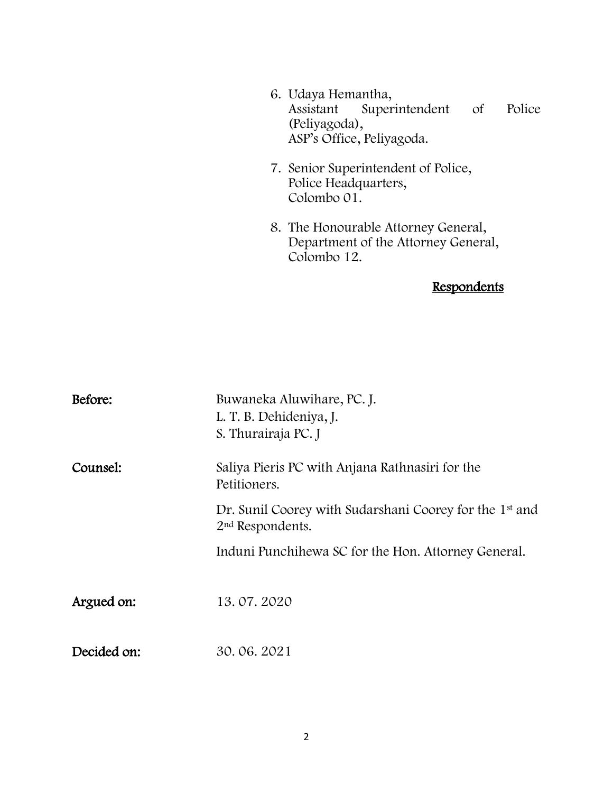| 6. Udaya Hemantha,<br>Police<br>Assistant Superintendent of<br>(Peliyagoda),<br>ASP's Office, Peliyagoda. |
|-----------------------------------------------------------------------------------------------------------|
| 7. Senior Superintendent of Police,<br>Police Headquarters,<br>Colombo 01.                                |
| 8. The Honourable Attorney General,<br>Department of the Attorney General,<br>Colombo 12.                 |
| Respondents                                                                                               |

| Before:     | Buwaneka Aluwihare, PC. J.<br>L. T. B. Dehideniya, J.<br>S. Thurairaja PC. J                        |
|-------------|-----------------------------------------------------------------------------------------------------|
| Counsel:    | Saliya Pieris PC with Anjana Rathnasiri for the<br>Petitioners.                                     |
|             | Dr. Sunil Coorey with Sudarshani Coorey for the 1 <sup>st</sup> and<br>2 <sup>nd</sup> Respondents. |
|             | Induni Punchihewa SC for the Hon. Attorney General.                                                 |
| Argued on:  | 13.07.2020                                                                                          |
| Decided on: | 30.06.2021                                                                                          |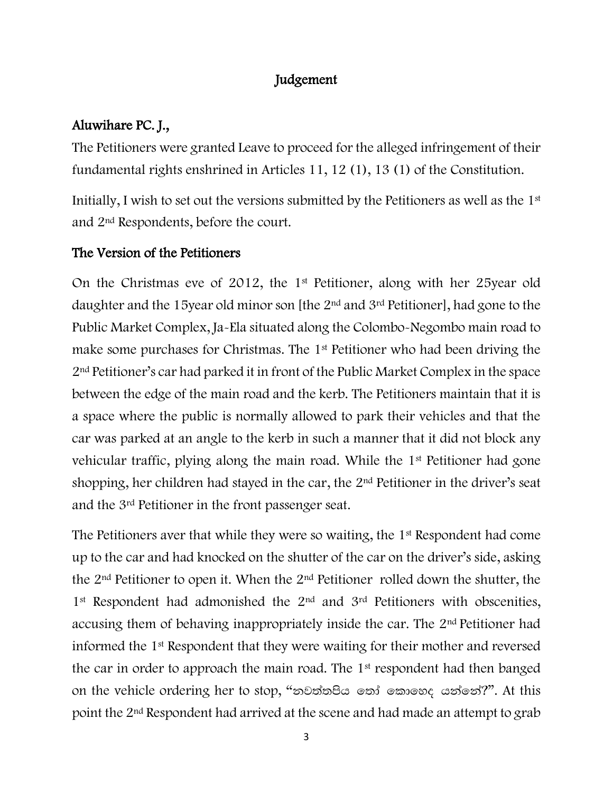# Judgement

# Aluwihare PC. J.,

The Petitioners were granted Leave to proceed for the alleged infringement of their fundamental rights enshrined in Articles 11, 12 (1), 13 (1) of the Constitution.

Initially, I wish to set out the versions submitted by the Petitioners as well as the 1st and 2nd Respondents, before the court.

# The Version of the Petitioners

On the Christmas eve of 2012, the 1st Petitioner, along with her 25year old daughter and the 15year old minor son [the 2nd and 3rd Petitioner], had gone to the Public Market Complex, Ja-Ela situated along the Colombo-Negombo main road to make some purchases for Christmas. The 1st Petitioner who had been driving the 2nd Petitioner's car had parked it in front of the Public Market Complex in the space between the edge of the main road and the kerb. The Petitioners maintain that it is a space where the public is normally allowed to park their vehicles and that the car was parked at an angle to the kerb in such a manner that it did not block any vehicular traffic, plying along the main road. While the 1st Petitioner had gone shopping, her children had stayed in the car, the 2nd Petitioner in the driver's seat and the 3rd Petitioner in the front passenger seat.

The Petitioners aver that while they were so waiting, the 1<sup>st</sup> Respondent had come up to the car and had knocked on the shutter of the car on the driver's side, asking the 2nd Petitioner to open it. When the 2nd Petitioner rolled down the shutter, the 1<sup>st</sup> Respondent had admonished the 2<sup>nd</sup> and 3<sup>rd</sup> Petitioners with obscenities, accusing them of behaving inappropriately inside the car. The 2nd Petitioner had informed the 1st Respondent that they were waiting for their mother and reversed the car in order to approach the main road. The 1st respondent had then banged on the vehicle ordering her to stop, "නවත්තපිය තෝ කොහෙද යන්නේ?". At this point the 2nd Respondent had arrived at the scene and had made an attempt to grab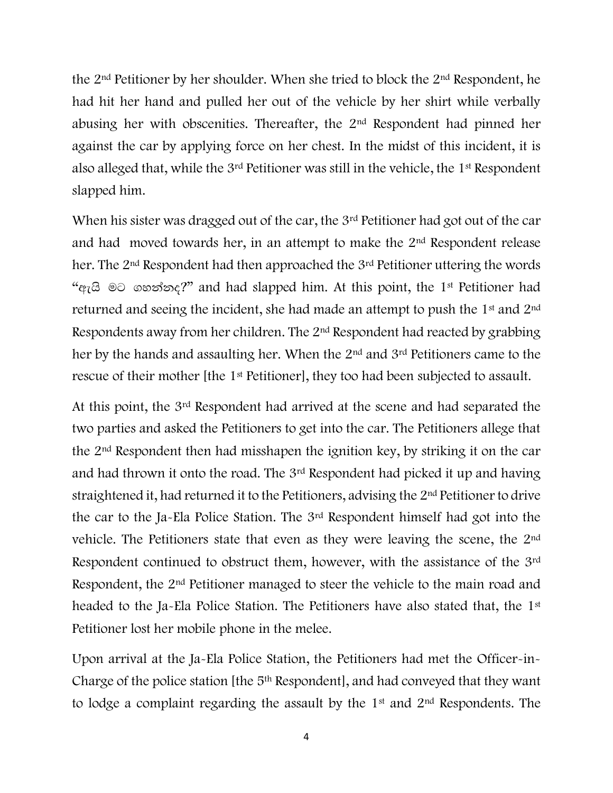the 2nd Petitioner by her shoulder. When she tried to block the 2nd Respondent, he had hit her hand and pulled her out of the vehicle by her shirt while verbally abusing her with obscenities. Thereafter, the 2nd Respondent had pinned her against the car by applying force on her chest. In the midst of this incident, it is also alleged that, while the 3rd Petitioner was still in the vehicle, the 1st Respondent slapped him.

When his sister was dragged out of the car, the 3<sup>rd</sup> Petitioner had got out of the car and had moved towards her, in an attempt to make the 2nd Respondent release her. The 2<sup>nd</sup> Respondent had then approached the 3<sup>rd</sup> Petitioner uttering the words " $q_7$  $\odot$   $\odot$   $\odot$   $\circ$   $\circ$   $\circ$   $\circ$   $\circ$ ?" and had slapped him. At this point, the 1<sup>st</sup> Petitioner had returned and seeing the incident, she had made an attempt to push the 1st and 2nd Respondents away from her children. The 2nd Respondent had reacted by grabbing her by the hands and assaulting her. When the 2nd and 3rd Petitioners came to the rescue of their mother [the 1st Petitioner], they too had been subjected to assault.

At this point, the 3rd Respondent had arrived at the scene and had separated the two parties and asked the Petitioners to get into the car. The Petitioners allege that the 2nd Respondent then had misshapen the ignition key, by striking it on the car and had thrown it onto the road. The 3rd Respondent had picked it up and having straightened it, had returned it to the Petitioners, advising the 2nd Petitioner to drive the car to the Ja-Ela Police Station. The 3rd Respondent himself had got into the vehicle. The Petitioners state that even as they were leaving the scene, the 2nd Respondent continued to obstruct them, however, with the assistance of the 3rd Respondent, the 2<sup>nd</sup> Petitioner managed to steer the vehicle to the main road and headed to the Ja-Ela Police Station. The Petitioners have also stated that, the 1<sup>st</sup> Petitioner lost her mobile phone in the melee.

Upon arrival at the Ja-Ela Police Station, the Petitioners had met the Officer-in-Charge of the police station [the 5th Respondent], and had conveyed that they want to lodge a complaint regarding the assault by the 1st and 2nd Respondents. The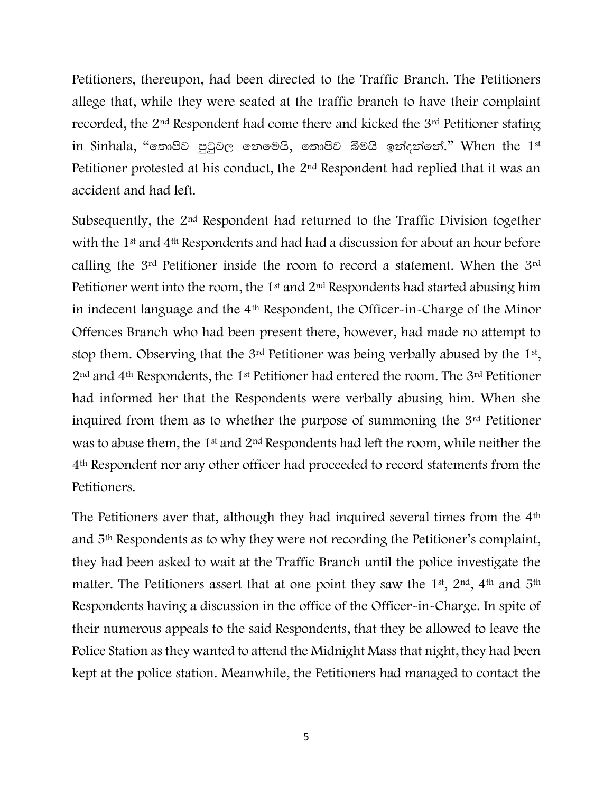Petitioners, thereupon, had been directed to the Traffic Branch. The Petitioners allege that, while they were seated at the traffic branch to have their complaint recorded, the 2nd Respondent had come there and kicked the 3rd Petitioner stating in Sinhala, "තොපිව පුටුවල තෙමෙයි, තොපිව බිමයි ඉන්දන්නේ." When the  $1<sup>st</sup>$ Petitioner protested at his conduct, the 2nd Respondent had replied that it was an accident and had left.

Subsequently, the 2nd Respondent had returned to the Traffic Division together with the 1<sup>st</sup> and 4<sup>th</sup> Respondents and had had a discussion for about an hour before calling the 3rd Petitioner inside the room to record a statement. When the 3rd Petitioner went into the room, the  $1<sup>st</sup>$  and  $2<sup>nd</sup>$  Respondents had started abusing him in indecent language and the 4th Respondent, the Officer-in-Charge of the Minor Offences Branch who had been present there, however, had made no attempt to stop them. Observing that the  $3<sup>rd</sup>$  Petitioner was being verbally abused by the  $1<sup>st</sup>$ , 2nd and 4th Respondents, the 1st Petitioner had entered the room. The 3rd Petitioner had informed her that the Respondents were verbally abusing him. When she inquired from them as to whether the purpose of summoning the 3rd Petitioner was to abuse them, the 1<sup>st</sup> and 2<sup>nd</sup> Respondents had left the room, while neither the 4th Respondent nor any other officer had proceeded to record statements from the Petitioners.

The Petitioners aver that, although they had inquired several times from the 4<sup>th</sup> and 5th Respondents as to why they were not recording the Petitioner's complaint, they had been asked to wait at the Traffic Branch until the police investigate the matter. The Petitioners assert that at one point they saw the 1<sup>st</sup>, 2<sup>nd</sup>, 4<sup>th</sup> and 5<sup>th</sup> Respondents having a discussion in the office of the Officer-in-Charge. In spite of their numerous appeals to the said Respondents, that they be allowed to leave the Police Station as they wanted to attend the Midnight Mass that night, they had been kept at the police station. Meanwhile, the Petitioners had managed to contact the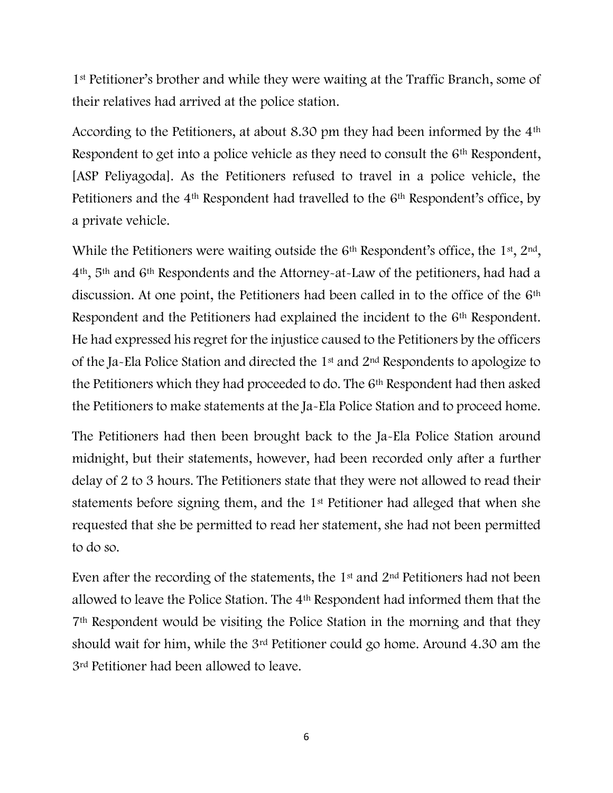1st Petitioner's brother and while they were waiting at the Traffic Branch, some of their relatives had arrived at the police station.

According to the Petitioners, at about 8.30 pm they had been informed by the 4th Respondent to get into a police vehicle as they need to consult the 6th Respondent, [ASP Peliyagoda]. As the Petitioners refused to travel in a police vehicle, the Petitioners and the 4<sup>th</sup> Respondent had travelled to the 6<sup>th</sup> Respondent's office, by a private vehicle.

While the Petitioners were waiting outside the  $6<sup>th</sup>$  Respondent's office, the  $1<sup>st</sup>, 2<sup>nd</sup>$ , 4th, 5th and 6th Respondents and the Attorney-at-Law of the petitioners, had had a discussion. At one point, the Petitioners had been called in to the office of the 6th Respondent and the Petitioners had explained the incident to the 6<sup>th</sup> Respondent. He had expressed his regret for the injustice caused to the Petitioners by the officers of the Ja-Ela Police Station and directed the 1st and 2nd Respondents to apologize to the Petitioners which they had proceeded to do. The 6th Respondent had then asked the Petitioners to make statements at the Ja-Ela Police Station and to proceed home.

The Petitioners had then been brought back to the Ja-Ela Police Station around midnight, but their statements, however, had been recorded only after a further delay of 2 to 3 hours. The Petitioners state that they were not allowed to read their statements before signing them, and the 1st Petitioner had alleged that when she requested that she be permitted to read her statement, she had not been permitted to do so.

Even after the recording of the statements, the 1st and 2nd Petitioners had not been allowed to leave the Police Station. The 4th Respondent had informed them that the 7th Respondent would be visiting the Police Station in the morning and that they should wait for him, while the 3rd Petitioner could go home. Around 4.30 am the 3rd Petitioner had been allowed to leave.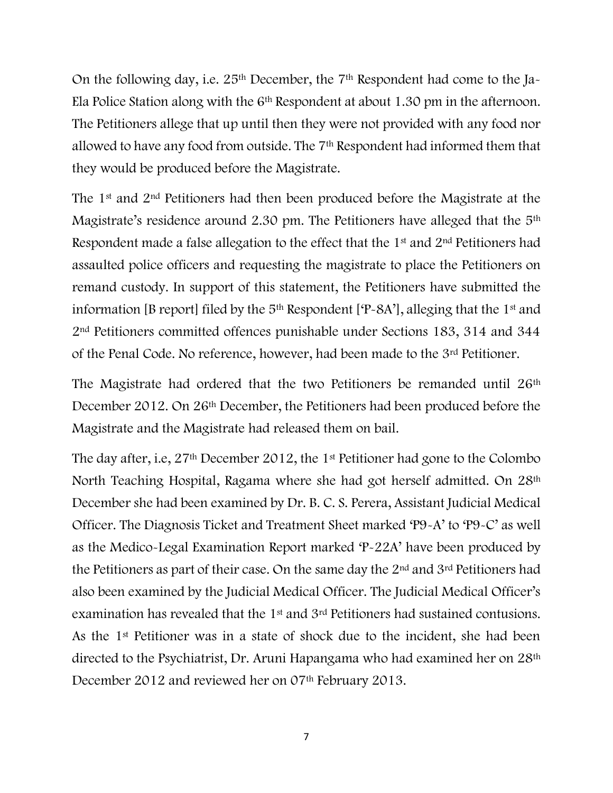On the following day, i.e. 25th December, the 7th Respondent had come to the Ja-Ela Police Station along with the 6th Respondent at about 1.30 pm in the afternoon. The Petitioners allege that up until then they were not provided with any food nor allowed to have any food from outside. The 7th Respondent had informed them that they would be produced before the Magistrate.

The 1st and 2nd Petitioners had then been produced before the Magistrate at the Magistrate's residence around 2.30 pm. The Petitioners have alleged that the 5<sup>th</sup> Respondent made a false allegation to the effect that the 1st and 2nd Petitioners had assaulted police officers and requesting the magistrate to place the Petitioners on remand custody. In support of this statement, the Petitioners have submitted the information [B report] filed by the  $5<sup>th</sup>$  Respondent [ $P-SA'$ ], alleging that the 1<sup>st</sup> and 2nd Petitioners committed offences punishable under Sections 183, 314 and 344 of the Penal Code. No reference, however, had been made to the 3rd Petitioner.

The Magistrate had ordered that the two Petitioners be remanded until 26<sup>th</sup> December 2012. On 26th December, the Petitioners had been produced before the Magistrate and the Magistrate had released them on bail.

The day after, i.e, 27th December 2012, the 1st Petitioner had gone to the Colombo North Teaching Hospital, Ragama where she had got herself admitted. On 28th December she had been examined by Dr. B. C. S. Perera, Assistant Judicial Medical Officer. The Diagnosis Ticket and Treatment Sheet marked 'P9-A' to 'P9-C' as well as the Medico-Legal Examination Report marked 'P-22A' have been produced by the Petitioners as part of their case. On the same day the 2nd and 3rd Petitioners had also been examined by the Judicial Medical Officer. The Judicial Medical Officer's examination has revealed that the 1st and 3rd Petitioners had sustained contusions. As the 1st Petitioner was in a state of shock due to the incident, she had been directed to the Psychiatrist, Dr. Aruni Hapangama who had examined her on 28th December 2012 and reviewed her on 07<sup>th</sup> February 2013.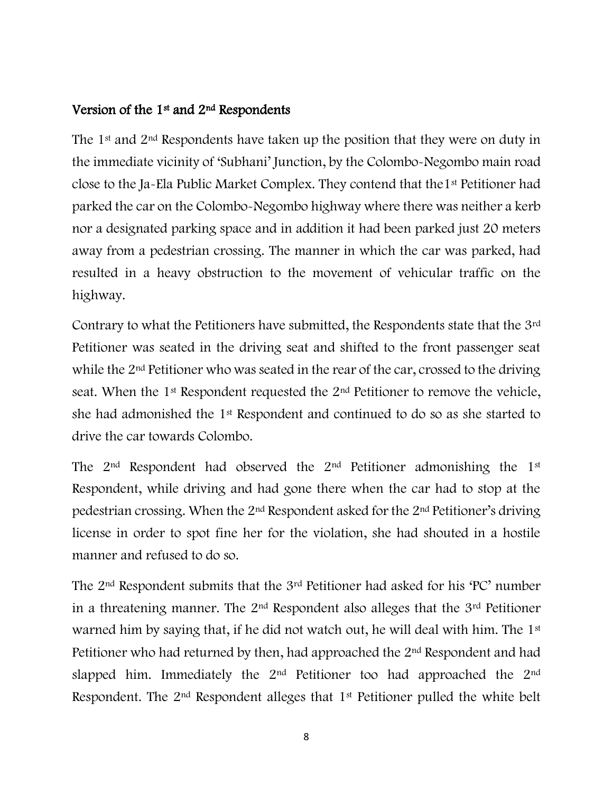## Version of the 1<sup>st</sup> and 2<sup>nd</sup> Respondents

The 1<sup>st</sup> and 2<sup>nd</sup> Respondents have taken up the position that they were on duty in the immediate vicinity of 'Subhani' Junction, by the Colombo-Negombo main road close to the Ja-Ela Public Market Complex. They contend that the1st Petitioner had parked the car on the Colombo-Negombo highway where there was neither a kerb nor a designated parking space and in addition it had been parked just 20 meters away from a pedestrian crossing. The manner in which the car was parked, had resulted in a heavy obstruction to the movement of vehicular traffic on the highway.

Contrary to what the Petitioners have submitted, the Respondents state that the 3rd Petitioner was seated in the driving seat and shifted to the front passenger seat while the 2<sup>nd</sup> Petitioner who was seated in the rear of the car, crossed to the driving seat. When the 1<sup>st</sup> Respondent requested the 2<sup>nd</sup> Petitioner to remove the vehicle, she had admonished the 1st Respondent and continued to do so as she started to drive the car towards Colombo.

The  $2<sup>nd</sup>$  Respondent had observed the  $2<sup>nd</sup>$  Petitioner admonishing the 1<sup>st</sup> Respondent, while driving and had gone there when the car had to stop at the pedestrian crossing. When the 2nd Respondent asked for the 2nd Petitioner's driving license in order to spot fine her for the violation, she had shouted in a hostile manner and refused to do so.

The 2nd Respondent submits that the 3rd Petitioner had asked for his 'PC' number in a threatening manner. The  $2<sup>nd</sup>$  Respondent also alleges that the  $3<sup>rd</sup>$  Petitioner warned him by saying that, if he did not watch out, he will deal with him. The 1<sup>st</sup> Petitioner who had returned by then, had approached the 2nd Respondent and had slapped him. Immediately the 2<sup>nd</sup> Petitioner too had approached the 2<sup>nd</sup> Respondent. The 2nd Respondent alleges that 1st Petitioner pulled the white belt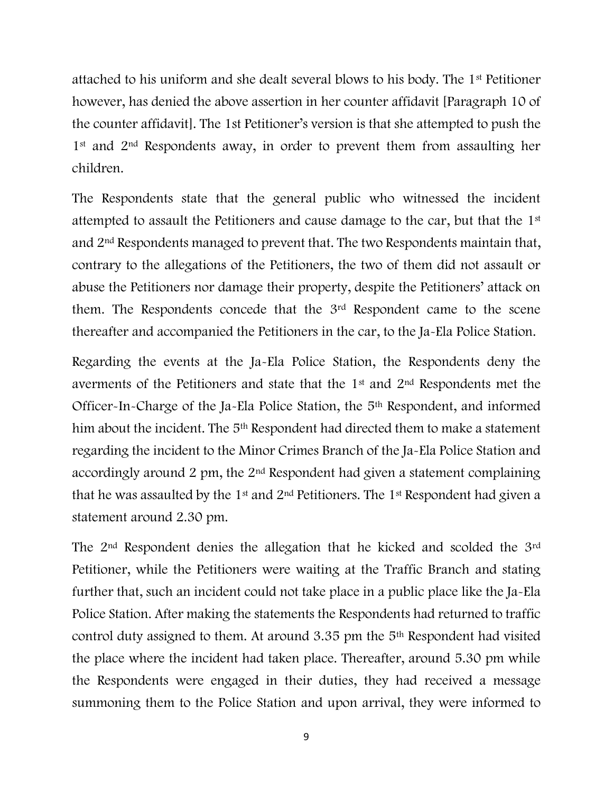attached to his uniform and she dealt several blows to his body. The 1st Petitioner however, has denied the above assertion in her counter affidavit [Paragraph 10 of the counter affidavit]. The 1st Petitioner's version is that she attempted to push the 1<sup>st</sup> and 2<sup>nd</sup> Respondents away, in order to prevent them from assaulting her children.

The Respondents state that the general public who witnessed the incident attempted to assault the Petitioners and cause damage to the car, but that the 1st and 2nd Respondents managed to prevent that. The two Respondents maintain that, contrary to the allegations of the Petitioners, the two of them did not assault or abuse the Petitioners nor damage their property, despite the Petitioners' attack on them. The Respondents concede that the 3rd Respondent came to the scene thereafter and accompanied the Petitioners in the car, to the Ja-Ela Police Station.

Regarding the events at the Ja-Ela Police Station, the Respondents deny the averments of the Petitioners and state that the 1st and 2nd Respondents met the Officer-In-Charge of the Ja-Ela Police Station, the 5th Respondent, and informed him about the incident. The 5<sup>th</sup> Respondent had directed them to make a statement regarding the incident to the Minor Crimes Branch of the Ja-Ela Police Station and accordingly around 2 pm, the 2nd Respondent had given a statement complaining that he was assaulted by the 1st and 2nd Petitioners. The 1st Respondent had given a statement around 2.30 pm.

The 2nd Respondent denies the allegation that he kicked and scolded the 3rd Petitioner, while the Petitioners were waiting at the Traffic Branch and stating further that, such an incident could not take place in a public place like the Ja-Ela Police Station. After making the statements the Respondents had returned to traffic control duty assigned to them. At around 3.35 pm the 5th Respondent had visited the place where the incident had taken place. Thereafter, around 5.30 pm while the Respondents were engaged in their duties, they had received a message summoning them to the Police Station and upon arrival, they were informed to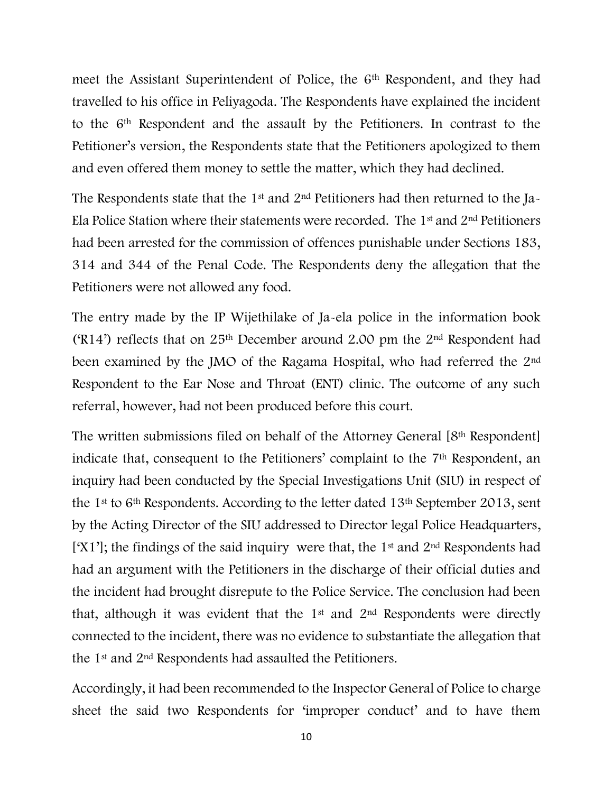meet the Assistant Superintendent of Police, the 6<sup>th</sup> Respondent, and they had travelled to his office in Peliyagoda. The Respondents have explained the incident to the 6th Respondent and the assault by the Petitioners. In contrast to the Petitioner's version, the Respondents state that the Petitioners apologized to them and even offered them money to settle the matter, which they had declined.

The Respondents state that the 1<sup>st</sup> and 2<sup>nd</sup> Petitioners had then returned to the Ja-Ela Police Station where their statements were recorded. The  $1<sup>st</sup>$  and  $2<sup>nd</sup>$  Petitioners had been arrested for the commission of offences punishable under Sections 183, 314 and 344 of the Penal Code. The Respondents deny the allegation that the Petitioners were not allowed any food.

The entry made by the IP Wijethilake of Ja-ela police in the information book ('R14') reflects that on  $25<sup>th</sup>$  December around 2.00 pm the  $2<sup>nd</sup>$  Respondent had been examined by the JMO of the Ragama Hospital, who had referred the 2nd Respondent to the Ear Nose and Throat (ENT) clinic. The outcome of any such referral, however, had not been produced before this court.

The written submissions filed on behalf of the Attorney General [8th Respondent] indicate that, consequent to the Petitioners' complaint to the 7<sup>th</sup> Respondent, an inquiry had been conducted by the Special Investigations Unit (SIU) in respect of the 1st to 6th Respondents. According to the letter dated 13th September 2013, sent by the Acting Director of the SIU addressed to Director legal Police Headquarters, ['X1']; the findings of the said inquiry were that, the 1<sup>st</sup> and 2<sup>nd</sup> Respondents had had an argument with the Petitioners in the discharge of their official duties and the incident had brought disrepute to the Police Service. The conclusion had been that, although it was evident that the  $1<sup>st</sup>$  and  $2<sup>nd</sup>$  Respondents were directly connected to the incident, there was no evidence to substantiate the allegation that the 1st and 2nd Respondents had assaulted the Petitioners.

Accordingly, it had been recommended to the Inspector General of Police to charge sheet the said two Respondents for 'improper conduct' and to have them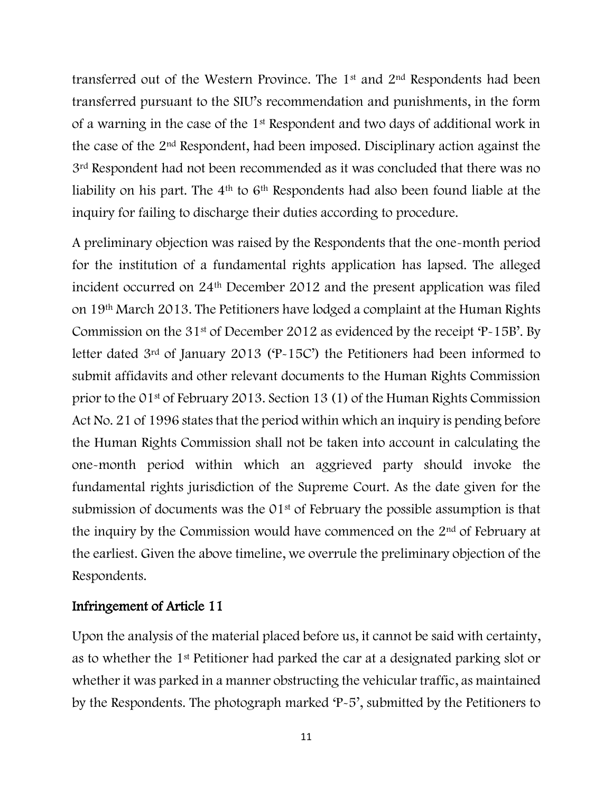transferred out of the Western Province. The 1st and 2nd Respondents had been transferred pursuant to the SIU's recommendation and punishments, in the form of a warning in the case of the 1st Respondent and two days of additional work in the case of the 2nd Respondent, had been imposed. Disciplinary action against the 3rd Respondent had not been recommended as it was concluded that there was no liability on his part. The 4<sup>th</sup> to 6<sup>th</sup> Respondents had also been found liable at the inquiry for failing to discharge their duties according to procedure.

A preliminary objection was raised by the Respondents that the one-month period for the institution of a fundamental rights application has lapsed. The alleged incident occurred on 24th December 2012 and the present application was filed on 19th March 2013. The Petitioners have lodged a complaint at the Human Rights Commission on the 31<sup>st</sup> of December 2012 as evidenced by the receipt 'P-15B'. By letter dated 3rd of January 2013 ('P-15C') the Petitioners had been informed to submit affidavits and other relevant documents to the Human Rights Commission prior to the 01st of February 2013. Section 13 (1) of the Human Rights Commission Act No. 21 of 1996 states that the period within which an inquiry is pending before the Human Rights Commission shall not be taken into account in calculating the one-month period within which an aggrieved party should invoke the fundamental rights jurisdiction of the Supreme Court. As the date given for the submission of documents was the 01<sup>st</sup> of February the possible assumption is that the inquiry by the Commission would have commenced on the  $2<sup>nd</sup>$  of February at the earliest. Given the above timeline, we overrule the preliminary objection of the Respondents.

#### Infringement of Article 11

Upon the analysis of the material placed before us, it cannot be said with certainty, as to whether the 1st Petitioner had parked the car at a designated parking slot or whether it was parked in a manner obstructing the vehicular traffic, as maintained by the Respondents. The photograph marked 'P-5', submitted by the Petitioners to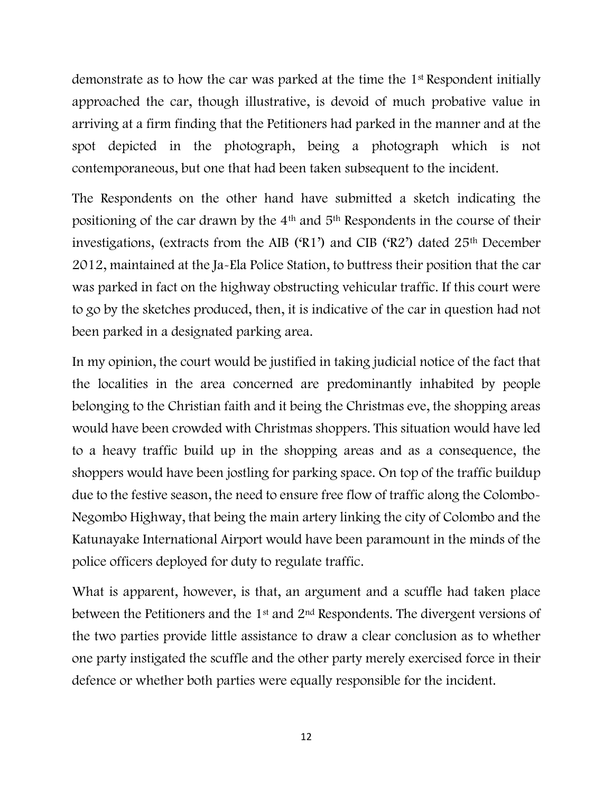demonstrate as to how the car was parked at the time the 1st Respondent initially approached the car, though illustrative, is devoid of much probative value in arriving at a firm finding that the Petitioners had parked in the manner and at the spot depicted in the photograph, being a photograph which is not contemporaneous, but one that had been taken subsequent to the incident.

The Respondents on the other hand have submitted a sketch indicating the positioning of the car drawn by the 4th and 5th Respondents in the course of their investigations, (extracts from the AIB ('R1') and CIB ('R2') dated 25th December 2012, maintained at the Ja-Ela Police Station, to buttress their position that the car was parked in fact on the highway obstructing vehicular traffic. If this court were to go by the sketches produced, then, it is indicative of the car in question had not been parked in a designated parking area.

In my opinion, the court would be justified in taking judicial notice of the fact that the localities in the area concerned are predominantly inhabited by people belonging to the Christian faith and it being the Christmas eve, the shopping areas would have been crowded with Christmas shoppers. This situation would have led to a heavy traffic build up in the shopping areas and as a consequence, the shoppers would have been jostling for parking space. On top of the traffic buildup due to the festive season, the need to ensure free flow of traffic along the Colombo-Negombo Highway, that being the main artery linking the city of Colombo and the Katunayake International Airport would have been paramount in the minds of the police officers deployed for duty to regulate traffic.

What is apparent, however, is that, an argument and a scuffle had taken place between the Petitioners and the 1st and 2nd Respondents. The divergent versions of the two parties provide little assistance to draw a clear conclusion as to whether one party instigated the scuffle and the other party merely exercised force in their defence or whether both parties were equally responsible for the incident.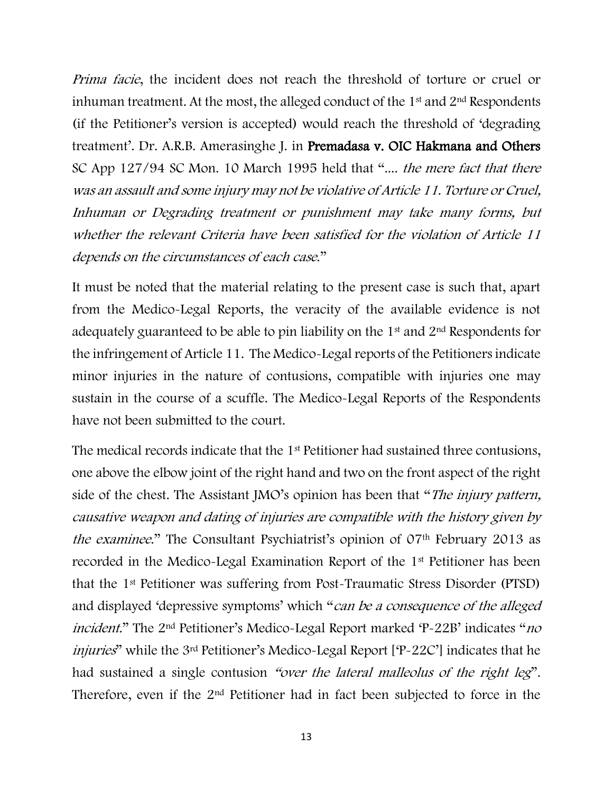*Prima facie*, the incident does not reach the threshold of torture or cruel or inhuman treatment. At the most, the alleged conduct of the  $1<sup>st</sup>$  and  $2<sup>nd</sup>$  Respondents (if the Petitioner's version is accepted) would reach the threshold of 'degrading treatment'. Dr. A.R.B. Amerasinghe J. in Premadasa v. OIC Hakmana and Others SC App 127/94 SC Mon. 10 March 1995 held that ".... the mere fact that there was an assault and some injury may not be violative of Article 11. Torture or Cruel, Inhuman or Degrading treatment or punishment may take many forms, but whether the relevant Criteria have been satisfied for the violation of Article 11 depends on the circumstances of each case."

It must be noted that the material relating to the present case is such that, apart from the Medico-Legal Reports, the veracity of the available evidence is not adequately guaranteed to be able to pin liability on the 1st and 2nd Respondents for the infringement of Article 11. The Medico-Legal reports of the Petitioners indicate minor injuries in the nature of contusions, compatible with injuries one may sustain in the course of a scuffle. The Medico-Legal Reports of the Respondents have not been submitted to the court.

The medical records indicate that the 1<sup>st</sup> Petitioner had sustained three contusions, one above the elbow joint of the right hand and two on the front aspect of the right side of the chest. The Assistant JMO's opinion has been that "*The injury pattern*, causative weapon and dating of injuries are compatible with the history given by the examinee." The Consultant Psychiatrist's opinion of 07th February 2013 as recorded in the Medico-Legal Examination Report of the 1st Petitioner has been that the 1st Petitioner was suffering from Post-Traumatic Stress Disorder (PTSD) and displayed 'depressive symptoms' which "can be a consequence of the alleged incident." The 2nd Petitioner's Medico-Legal Report marked 'P-22B' indicates "no injuries" while the 3rd Petitioner's Medico-Legal Report ['P-22C'] indicates that he had sustained a single contusion "over the lateral malleolus of the right leg". Therefore, even if the 2nd Petitioner had in fact been subjected to force in the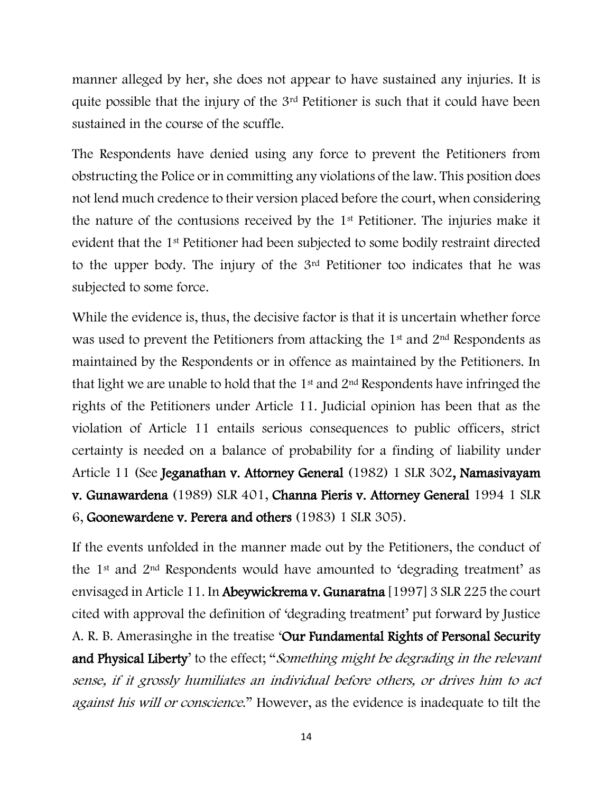manner alleged by her, she does not appear to have sustained any injuries. It is quite possible that the injury of the 3rd Petitioner is such that it could have been sustained in the course of the scuffle.

The Respondents have denied using any force to prevent the Petitioners from obstructing the Police or in committing any violations of the law. This position does not lend much credence to their version placed before the court, when considering the nature of the contusions received by the 1st Petitioner. The injuries make it evident that the 1st Petitioner had been subjected to some bodily restraint directed to the upper body. The injury of the 3rd Petitioner too indicates that he was subjected to some force.

While the evidence is, thus, the decisive factor is that it is uncertain whether force was used to prevent the Petitioners from attacking the 1<sup>st</sup> and 2<sup>nd</sup> Respondents as maintained by the Respondents or in offence as maintained by the Petitioners. In that light we are unable to hold that the  $1<sup>st</sup>$  and  $2<sup>nd</sup>$  Respondents have infringed the rights of the Petitioners under Article 11. Judicial opinion has been that as the violation of Article 11 entails serious consequences to public officers, strict certainty is needed on a balance of probability for a finding of liability under Article 11 (See Jeganathan v. Attorney General (1982) 1 SLR 302, Namasivayam v. Gunawardena (1989) SLR 401, Channa Pieris v. Attorney General 1994 1 SLR 6, Goonewardene v. Perera and others (1983) 1 SLR 305).

If the events unfolded in the manner made out by the Petitioners, the conduct of the 1st and 2nd Respondents would have amounted to 'degrading treatment' as envisaged in Article 11. In Abeywickrema v. Gunaratna [1997] 3 SLR 225 the court cited with approval the definition of 'degrading treatment' put forward by Justice A. R. B. Amerasinghe in the treatise 'Our Fundamental Rights of Personal Security and Physical Liberty' to the effect; "Something might be degrading in the relevant sense, if it grossly humiliates an individual before others, or drives him to act against his will or conscience." However, as the evidence is inadequate to tilt the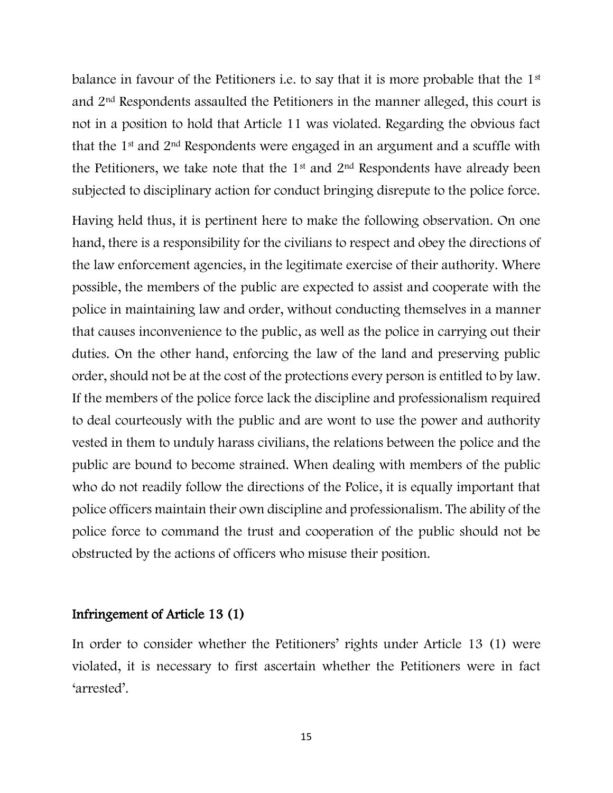balance in favour of the Petitioners i.e. to say that it is more probable that the 1<sup>st</sup> and 2nd Respondents assaulted the Petitioners in the manner alleged, this court is not in a position to hold that Article 11 was violated. Regarding the obvious fact that the 1st and 2nd Respondents were engaged in an argument and a scuffle with the Petitioners, we take note that the  $1<sup>st</sup>$  and  $2<sup>nd</sup>$  Respondents have already been subjected to disciplinary action for conduct bringing disrepute to the police force.

Having held thus, it is pertinent here to make the following observation. On one hand, there is a responsibility for the civilians to respect and obey the directions of the law enforcement agencies, in the legitimate exercise of their authority. Where possible, the members of the public are expected to assist and cooperate with the police in maintaining law and order, without conducting themselves in a manner that causes inconvenience to the public, as well as the police in carrying out their duties. On the other hand, enforcing the law of the land and preserving public order, should not be at the cost of the protections every person is entitled to by law. If the members of the police force lack the discipline and professionalism required to deal courteously with the public and are wont to use the power and authority vested in them to unduly harass civilians, the relations between the police and the public are bound to become strained. When dealing with members of the public who do not readily follow the directions of the Police, it is equally important that police officers maintain their own discipline and professionalism. The ability of the police force to command the trust and cooperation of the public should not be obstructed by the actions of officers who misuse their position.

#### Infringement of Article 13 (1)

In order to consider whether the Petitioners' rights under Article 13 (1) were violated, it is necessary to first ascertain whether the Petitioners were in fact 'arrested'.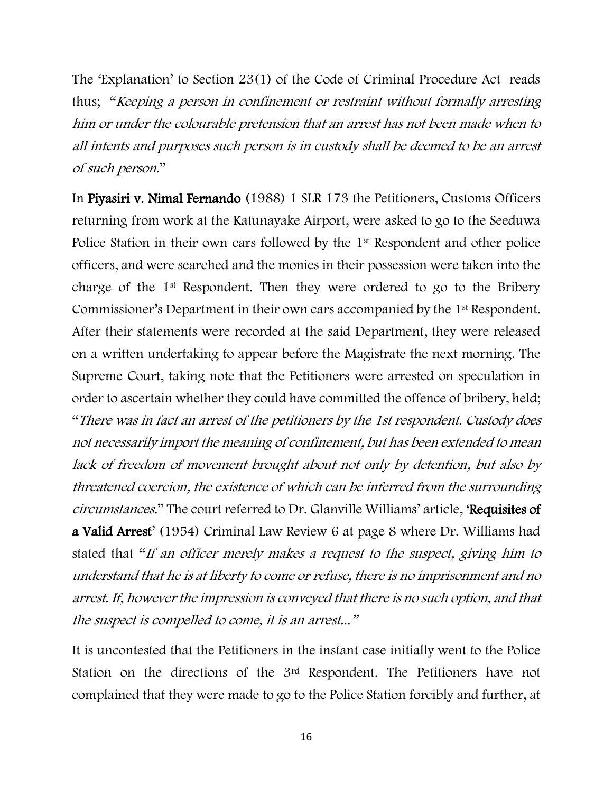The 'Explanation' to Section 23(1) of the Code of Criminal Procedure Act reads thus; "Keeping a person in confinement or restraint without formally arresting him or under the colourable pretension that an arrest has not been made when to all intents and purposes such person is in custody shall be deemed to be an arrest of such person."

In Piyasiri v. Nimal Fernando (1988) 1 SLR 173 the Petitioners, Customs Officers returning from work at the Katunayake Airport, were asked to go to the Seeduwa Police Station in their own cars followed by the 1<sup>st</sup> Respondent and other police officers, and were searched and the monies in their possession were taken into the charge of the 1st Respondent. Then they were ordered to go to the Bribery Commissioner's Department in their own cars accompanied by the 1st Respondent. After their statements were recorded at the said Department, they were released on a written undertaking to appear before the Magistrate the next morning. The Supreme Court, taking note that the Petitioners were arrested on speculation in order to ascertain whether they could have committed the offence of bribery, held; "There was in fact an arrest of the petitioners by the 1st respondent. Custody does not necessarily import the meaning of confinement, but has been extended to mean lack of freedom of movement brought about not only by detention, but also by threatened coercion, the existence of which can be inferred from the surrounding circumstances." The court referred to Dr. Glanville Williams' article, 'Requisites of a Valid Arrest' (1954) Criminal Law Review 6 at page 8 where Dr. Williams had stated that "If an officer merely makes a request to the suspect, giving him to understand that he is at liberty to come or refuse, there is no imprisonment and no arrest. If, however the impression is conveyed that there is no such option, and that the suspect is compelled to come, it is an arrest..."

It is uncontested that the Petitioners in the instant case initially went to the Police Station on the directions of the 3rd Respondent. The Petitioners have not complained that they were made to go to the Police Station forcibly and further, at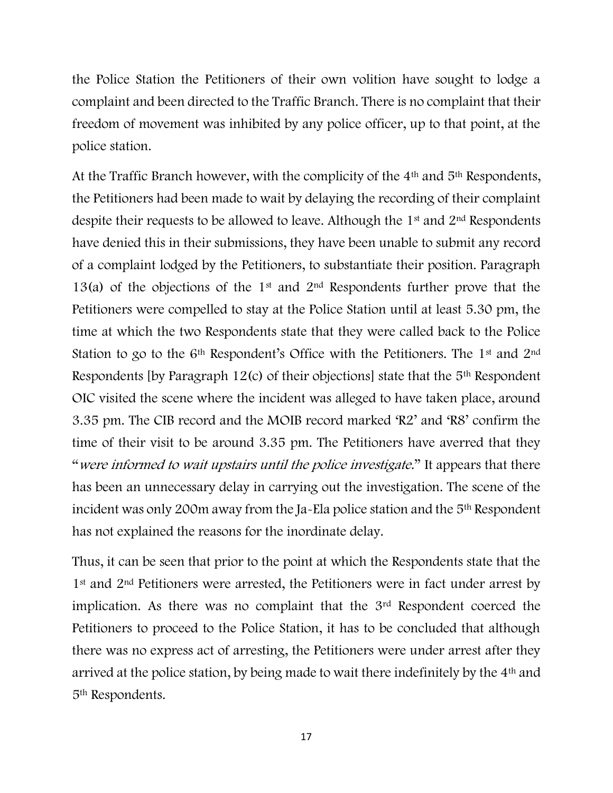the Police Station the Petitioners of their own volition have sought to lodge a complaint and been directed to the Traffic Branch. There is no complaint that their freedom of movement was inhibited by any police officer, up to that point, at the police station.

At the Traffic Branch however, with the complicity of the 4th and 5th Respondents, the Petitioners had been made to wait by delaying the recording of their complaint despite their requests to be allowed to leave. Although the 1<sup>st</sup> and 2<sup>nd</sup> Respondents have denied this in their submissions, they have been unable to submit any record of a complaint lodged by the Petitioners, to substantiate their position. Paragraph 13(a) of the objections of the 1<sup>st</sup> and 2<sup>nd</sup> Respondents further prove that the Petitioners were compelled to stay at the Police Station until at least 5.30 pm, the time at which the two Respondents state that they were called back to the Police Station to go to the 6<sup>th</sup> Respondent's Office with the Petitioners. The 1<sup>st</sup> and 2<sup>nd</sup> Respondents [by Paragraph 12(c) of their objections] state that the 5th Respondent OIC visited the scene where the incident was alleged to have taken place, around 3.35 pm. The CIB record and the MOIB record marked 'R2' and 'R8' confirm the time of their visit to be around 3.35 pm. The Petitioners have averred that they "were informed to wait upstairs until the police investigate." It appears that there has been an unnecessary delay in carrying out the investigation. The scene of the incident was only 200m away from the Ja-Ela police station and the 5th Respondent has not explained the reasons for the inordinate delay.

Thus, it can be seen that prior to the point at which the Respondents state that the 1<sup>st</sup> and 2<sup>nd</sup> Petitioners were arrested, the Petitioners were in fact under arrest by implication. As there was no complaint that the 3<sup>rd</sup> Respondent coerced the Petitioners to proceed to the Police Station, it has to be concluded that although there was no express act of arresting, the Petitioners were under arrest after they arrived at the police station, by being made to wait there indefinitely by the 4th and 5th Respondents.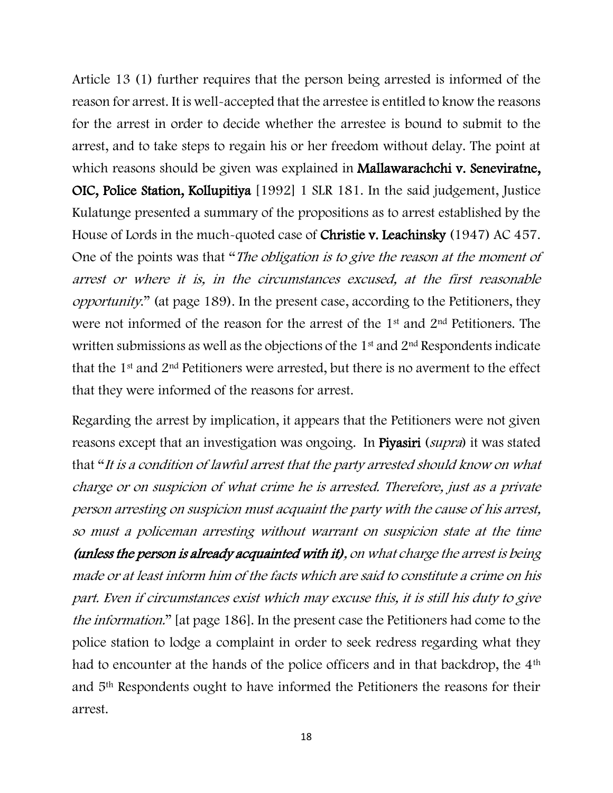Article 13 (1) further requires that the person being arrested is informed of the reason for arrest. It is well-accepted that the arrestee is entitled to know the reasons for the arrest in order to decide whether the arrestee is bound to submit to the arrest, and to take steps to regain his or her freedom without delay. The point at which reasons should be given was explained in Mallawarachchi v. Seneviratne, OIC, Police Station, Kollupitiya [1992] 1 SLR 181. In the said judgement, Justice Kulatunge presented a summary of the propositions as to arrest established by the House of Lords in the much-quoted case of Christie v. Leachinsky (1947) AC 457. One of the points was that "The *obligation is to give the reason at the moment of* arrest or where it is, in the circumstances excused, at the first reasonable opportunity." (at page 189). In the present case, according to the Petitioners, they were not informed of the reason for the arrest of the 1st and 2nd Petitioners. The written submissions as well as the objections of the  $1<sup>st</sup>$  and  $2<sup>nd</sup>$  Respondents indicate that the 1st and 2nd Petitioners were arrested, but there is no averment to the effect that they were informed of the reasons for arrest.

Regarding the arrest by implication, it appears that the Petitioners were not given reasons except that an investigation was ongoing. In Piyasiri (supra) it was stated that "It is a condition of lawful arrest that the party arrested should know on what charge or on suspicion of what crime he is arrested. Therefore, just as a private person arresting on suspicion must acquaint the party with the cause of his arrest, so must a policeman arresting without warrant on suspicion state at the time (unless the person is already acquainted with it), on what charge the arrest is being made or at least inform him of the facts which are said to constitute a crime on his part. Even if circumstances exist which may excuse this, it is still his duty to give the information." [at page 186]. In the present case the Petitioners had come to the police station to lodge a complaint in order to seek redress regarding what they had to encounter at the hands of the police officers and in that backdrop, the 4<sup>th</sup> and 5th Respondents ought to have informed the Petitioners the reasons for their arrest.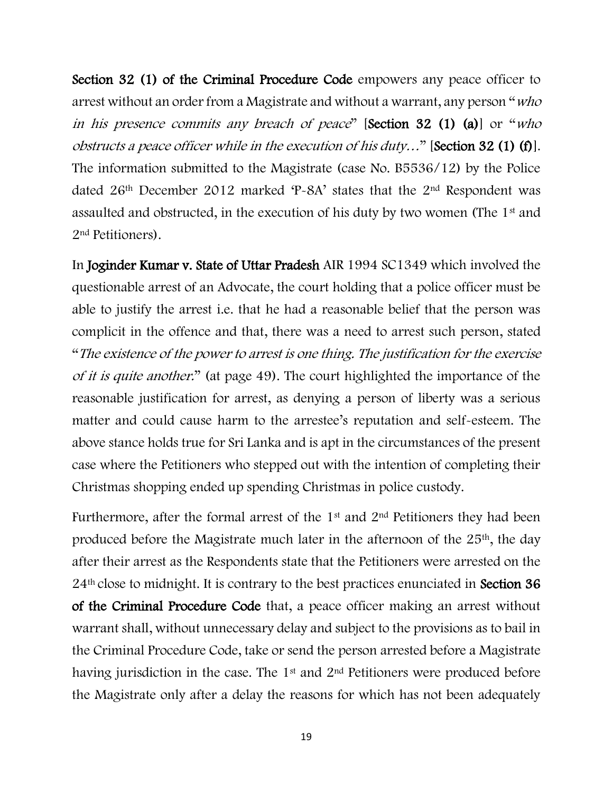Section 32 (1) of the Criminal Procedure Code empowers any peace officer to arrest without an order from a Magistrate and without a warrant, any person "who in his presence commits any breach of peace" [Section 32 (1) (a)] or "who obstructs a peace officer while in the execution of his duty…" [Section 32 (1) (f)]. The information submitted to the Magistrate (case No. B5536/12) by the Police dated 26th December 2012 marked 'P-8A' states that the 2nd Respondent was assaulted and obstructed, in the execution of his duty by two women (The 1<sup>st</sup> and 2nd Petitioners).

In Joginder Kumar v. State of Uttar Pradesh AIR 1994 SC1349 which involved the questionable arrest of an Advocate, the court holding that a police officer must be able to justify the arrest i.e. that he had a reasonable belief that the person was complicit in the offence and that, there was a need to arrest such person, stated "The existence of the power to arrest is one thing. The justification for the exercise of it is quite another." (at page 49). The court highlighted the importance of the reasonable justification for arrest, as denying a person of liberty was a serious matter and could cause harm to the arrestee's reputation and self-esteem. The above stance holds true for Sri Lanka and is apt in the circumstances of the present case where the Petitioners who stepped out with the intention of completing their Christmas shopping ended up spending Christmas in police custody.

Furthermore, after the formal arrest of the 1st and 2nd Petitioners they had been produced before the Magistrate much later in the afternoon of the 25<sup>th</sup>, the day after their arrest as the Respondents state that the Petitioners were arrested on the 24<sup>th</sup> close to midnight. It is contrary to the best practices enunciated in **Section 36** of the Criminal Procedure Code that, a peace officer making an arrest without warrant shall, without unnecessary delay and subject to the provisions as to bail in the Criminal Procedure Code, take or send the person arrested before a Magistrate having jurisdiction in the case. The 1<sup>st</sup> and 2<sup>nd</sup> Petitioners were produced before the Magistrate only after a delay the reasons for which has not been adequately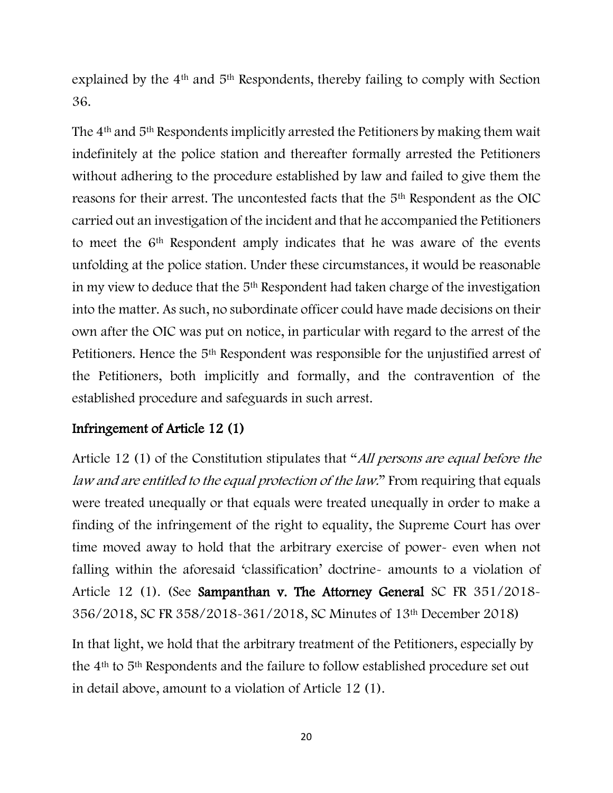explained by the 4th and 5th Respondents, thereby failing to comply with Section 36.

The 4th and 5th Respondents implicitly arrested the Petitioners by making them wait indefinitely at the police station and thereafter formally arrested the Petitioners without adhering to the procedure established by law and failed to give them the reasons for their arrest. The uncontested facts that the 5th Respondent as the OIC carried out an investigation of the incident and that he accompanied the Petitioners to meet the 6th Respondent amply indicates that he was aware of the events unfolding at the police station. Under these circumstances, it would be reasonable in my view to deduce that the 5th Respondent had taken charge of the investigation into the matter. As such, no subordinate officer could have made decisions on their own after the OIC was put on notice, in particular with regard to the arrest of the Petitioners. Hence the 5th Respondent was responsible for the unjustified arrest of the Petitioners, both implicitly and formally, and the contravention of the established procedure and safeguards in such arrest.

## Infringement of Article 12 (1)

Article 12 (1) of the Constitution stipulates that "All persons are equal before the law and are entitled to the equal protection of the law." From requiring that equals were treated unequally or that equals were treated unequally in order to make a finding of the infringement of the right to equality, the Supreme Court has over time moved away to hold that the arbitrary exercise of power- even when not falling within the aforesaid 'classification' doctrine- amounts to a violation of Article 12 (1). (See Sampanthan v. The Attorney General SC FR 351/2018- 356/2018, SC FR 358/2018-361/2018, SC Minutes of 13th December 2018)

In that light, we hold that the arbitrary treatment of the Petitioners, especially by the 4th to 5th Respondents and the failure to follow established procedure set out in detail above, amount to a violation of Article 12 (1).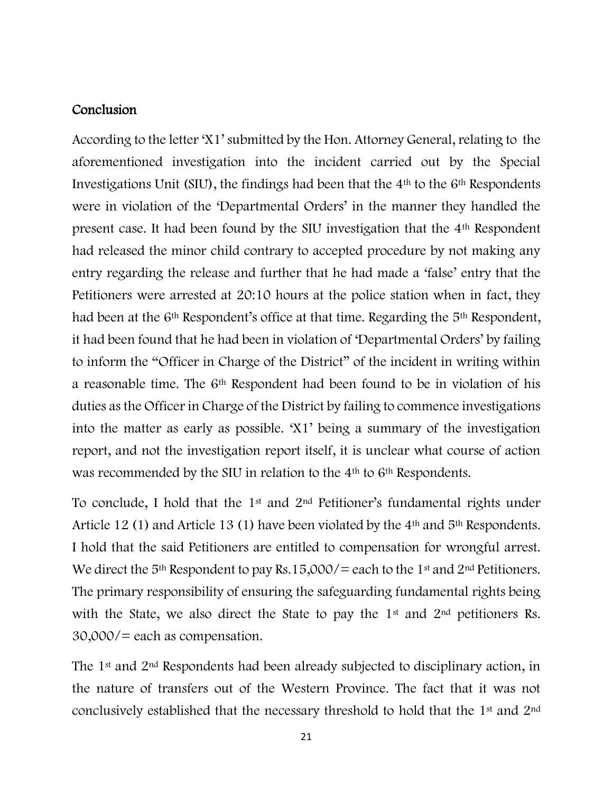#### **Conclusion**

According to the letter 'X1' submitted by the Hon. Attorney General, relating to the aforementioned investigation into the incident carried out by the Special Investigations Unit (SIU), the findings had been that the 4th to the 6th Respondents were in violation of the 'Departmental Orders' in the manner they handled the present case. It had been found by the SIU investigation that the 4th Respondent had released the minor child contrary to accepted procedure by not making any entry regarding the release and further that he had made a 'false' entry that the Petitioners were arrested at 20:10 hours at the police station when in fact, they had been at the 6<sup>th</sup> Respondent's office at that time. Regarding the 5<sup>th</sup> Respondent, it had been found that he had been in violation of 'Departmental Orders' by failing to inform the "Officer in Charge of the District" of the incident in writing within a reasonable time. The 6<sup>th</sup> Respondent had been found to be in violation of his duties as the Officer in Charge of the District by failing to commence investigations into the matter as early as possible. 'X1' being a summary of the investigation report, and not the investigation report itself, it is unclear what course of action was recommended by the SIU in relation to the 4<sup>th</sup> to 6<sup>th</sup> Respondents.

To conclude, I hold that the  $1<sup>st</sup>$  and  $2<sup>nd</sup>$  Petitioner's fundamental rights under Article 12 (1) and Article 13 (1) have been violated by the 4<sup>th</sup> and 5<sup>th</sup> Respondents. I hold that the said Petitioners are entitled to compensation for wrongful arrest. We direct the 5<sup>th</sup> Respondent to pay Rs.15,000/= each to the 1<sup>st</sup> and 2<sup>nd</sup> Petitioners. The primary responsibility of ensuring the safeguarding fundamental rights being with the State, we also direct the State to pay the 1<sup>st</sup> and 2<sup>nd</sup> petitioners Rs. 30,000/= each as compensation.

The 1st and 2nd Respondents had been already subjected to disciplinary action, in the nature of transfers out of the Western Province. The fact that it was not conclusively established that the necessary threshold to hold that the 1st and 2nd